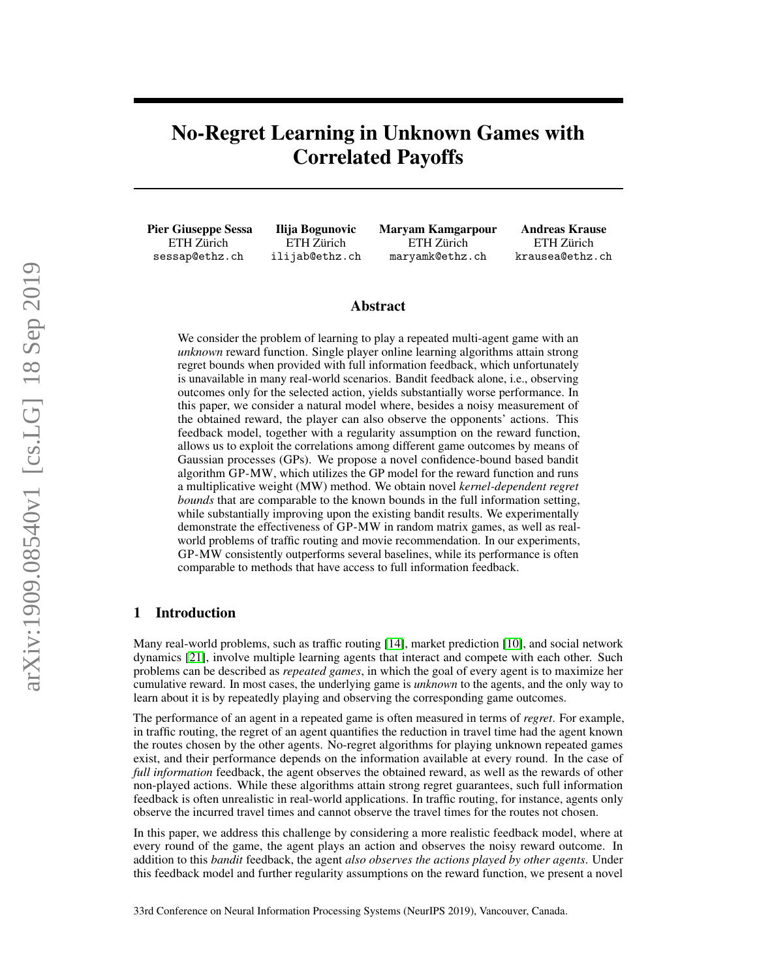## No-Regret Learning in Unknown Games with Correlated Payoffs

Pier Giuseppe Sessa ETH Zürich sessap@ethz.ch

Ilija Bogunovic ETH Zürich ilijab@ethz.ch Maryam Kamgarpour ETH Zürich maryamk@ethz.ch

Andreas Krause ETH Zürich krausea@ethz.ch

## Abstract

We consider the problem of learning to play a repeated multi-agent game with an *unknown* reward function. Single player online learning algorithms attain strong regret bounds when provided with full information feedback, which unfortunately is unavailable in many real-world scenarios. Bandit feedback alone, i.e., observing outcomes only for the selected action, yields substantially worse performance. In this paper, we consider a natural model where, besides a noisy measurement of the obtained reward, the player can also observe the opponents' actions. This feedback model, together with a regularity assumption on the reward function, allows us to exploit the correlations among different game outcomes by means of Gaussian processes (GPs). We propose a novel confidence-bound based bandit algorithm GP-MW, which utilizes the GP model for the reward function and runs a multiplicative weight (MW) method. We obtain novel *kernel-dependent regret bounds* that are comparable to the known bounds in the full information setting, while substantially improving upon the existing bandit results. We experimentally demonstrate the effectiveness of GP-MW in random matrix games, as well as realworld problems of traffic routing and movie recommendation. In our experiments, GP-MW consistently outperforms several baselines, while its performance is often comparable to methods that have access to full information feedback.

## 1 Introduction

Many real-world problems, such as traffic routing [\[14\]](#page-8-0), market prediction [\[10\]](#page-8-1), and social network dynamics [\[21\]](#page-9-0), involve multiple learning agents that interact and compete with each other. Such problems can be described as *repeated games*, in which the goal of every agent is to maximize her cumulative reward. In most cases, the underlying game is *unknown* to the agents, and the only way to learn about it is by repeatedly playing and observing the corresponding game outcomes.

The performance of an agent in a repeated game is often measured in terms of *regret*. For example, in traffic routing, the regret of an agent quantifies the reduction in travel time had the agent known the routes chosen by the other agents. No-regret algorithms for playing unknown repeated games exist, and their performance depends on the information available at every round. In the case of *full information* feedback, the agent observes the obtained reward, as well as the rewards of other non-played actions. While these algorithms attain strong regret guarantees, such full information feedback is often unrealistic in real-world applications. In traffic routing, for instance, agents only observe the incurred travel times and cannot observe the travel times for the routes not chosen.

In this paper, we address this challenge by considering a more realistic feedback model, where at every round of the game, the agent plays an action and observes the noisy reward outcome. In addition to this *bandit* feedback, the agent *also observes the actions played by other agents*. Under this feedback model and further regularity assumptions on the reward function, we present a novel

33rd Conference on Neural Information Processing Systems (NeurIPS 2019), Vancouver, Canada.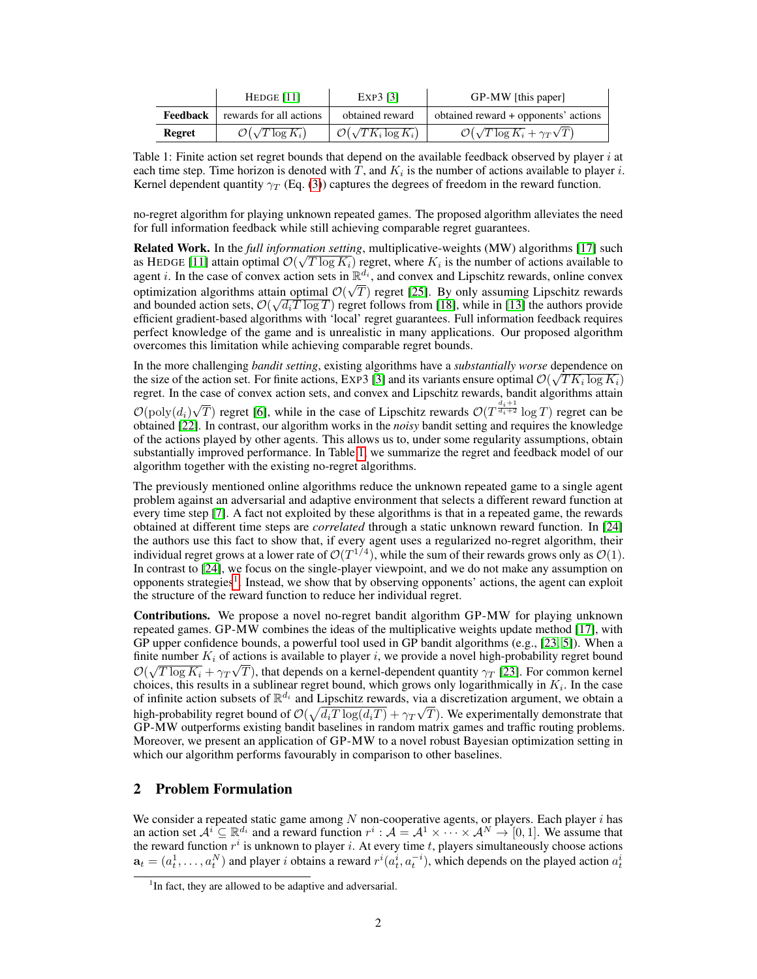<span id="page-1-0"></span>

|          | HEDGE $[11]$                     | EXP3 [3]                           | GP-MW [this paper]                                 |
|----------|----------------------------------|------------------------------------|----------------------------------------------------|
| Feedback | rewards for all actions          | obtained reward                    | obtained reward + opponents' actions               |
| Regret   | $\mathcal{O}(\sqrt{T \log K_i})$ | $\mathcal{O}(\sqrt{TK_i\log K_i})$ | $\mathcal{O}(\sqrt{T\log K_i} + \gamma_T\sqrt{T})$ |

Table 1: Finite action set regret bounds that depend on the available feedback observed by player  $i$  at each time step. Time horizon is denoted with T, and  $K_i$  is the number of actions available to player i. Kernel dependent quantity  $\gamma_T$  (Eq. [\(3\)](#page-3-0)) captures the degrees of freedom in the reward function.

no-regret algorithm for playing unknown repeated games. The proposed algorithm alleviates the need for full information feedback while still achieving comparable regret guarantees.

**Related Work.** In the *full information setting*, multiplicative-weights (MW) algorithms [\[17\]](#page-8-4) such as HEDGE [\[11\]](#page-8-2) attain optimal  $\mathcal{O}(\sqrt{T \log K_i})$  regret, where  $K_i$  is the number of actions available to agent *i*. In the case of convex action sets in  $\mathbb{R}^{d_i}$ , and convex and Lipschitz rewards, online convex optimization algorithms attain optimal  $\mathcal{O}(\sqrt{T})$  regret [\[25\]](#page-9-1). By only assuming Lipschitz rewards and bounded action sets,  $\mathcal{O}(\sqrt{d_iT\log T})$  regret follows from [\[18\]](#page-8-5), while in [\[13\]](#page-8-6) the authors provide efficient gradient-based algorithms with 'local' regret guarantees. Full information feedback requires perfect knowledge of the game and is unrealistic in many applications. Our proposed algorithm overcomes this limitation while achieving comparable regret bounds.

In the more challenging *bandit setting*, existing algorithms have a *substantially worse* dependence on √ the size of the action set. For finite actions, EXP3 [\[3\]](#page-8-3) and its variants ensure optimal  $\mathcal{O}(\sqrt{TK_i\log K_i})$ regret. In the case of convex action sets, and convex and Lipschitz rewards, bandit algorithms attain  $\mathcal{O}(\text{poly}(d_i))$ √  $\overline{T}$ ) regret [\[6\]](#page-8-7), while in the case of Lipschitz rewards  $\mathcal{O}(T^{\frac{d_i+1}{d_i+2}} \log T)$  regret can be obtained [\[22\]](#page-9-2). In contrast, our algorithm works in the *noisy* bandit setting and requires the knowledge of the actions played by other agents. This allows us to, under some regularity assumptions, obtain substantially improved performance. In Table [1,](#page-1-0) we summarize the regret and feedback model of our algorithm together with the existing no-regret algorithms.

The previously mentioned online algorithms reduce the unknown repeated game to a single agent problem against an adversarial and adaptive environment that selects a different reward function at every time step [\[7\]](#page-8-8). A fact not exploited by these algorithms is that in a repeated game, the rewards obtained at different time steps are *correlated* through a static unknown reward function. In [\[24\]](#page-9-3) the authors use this fact to show that, if every agent uses a regularized no-regret algorithm, their individual regret grows at a lower rate of  $\mathcal{O}(T^{1/4})$ , while the sum of their rewards grows only as  $\mathcal{O}(1)$ . In contrast to [\[24\]](#page-9-3), we focus on the single-player viewpoint, and we do not make any assumption on opponents strategies<sup>[1](#page-1-1)</sup>. Instead, we show that by observing opponents' actions, the agent can exploit the structure of the reward function to reduce her individual regret.

Contributions. We propose a novel no-regret bandit algorithm GP-MW for playing unknown repeated games. GP-MW combines the ideas of the multiplicative weights update method [\[17\]](#page-8-4), with GP upper confidence bounds, a powerful tool used in GP bandit algorithms (e.g., [\[23,](#page-9-4) [5\]](#page-8-9)). When a finite number  $K_i$  of actions is available to player i, we provide a novel high-probability regret bound  $\mathcal{O}(\sqrt{T \log K_i} + \gamma_T \sqrt{T})$ , that depends on a kernel-dependent quantity  $\gamma_T$  [\[23\]](#page-9-4). For common kernel choices, this results in a sublinear regret bound, which grows only logarithmically in  $K_i$ . In the case of infinite action subsets of  $\mathbb{R}^{d_i}$  and Lipschitz rewards, via a discretization argument, we obtain a high-probability regret bound of  $\mathcal{O}(\sqrt{d_iT\log(d_iT)} + \gamma_T\sqrt{T})$ . We experimentally demonstrate that GP-MW outperforms existing bandit baselines in random matrix games and traffic routing problems. Moreover, we present an application of GP-MW to a novel robust Bayesian optimization setting in which our algorithm performs favourably in comparison to other baselines.

## <span id="page-1-2"></span>2 Problem Formulation

We consider a repeated static game among  $N$  non-cooperative agents, or players. Each player  $i$  has an action set  $A^i \subseteq \mathbb{R}^{d_i}$  and a reward function  $r^i : A = A^1 \times \cdots \times A^N \to [0, 1]$ . We assume that the reward function  $r^i$  is unknown to player i. At every time t, players simultaneously choose actions  $a_t = (a_t^1, \dots, a_t^N)$  and player i obtains a reward  $r^i(a_t^i, a_t^{-i})$ , which depends on the played action  $a_t^i$ 

<span id="page-1-1"></span><sup>&</sup>lt;sup>1</sup>In fact, they are allowed to be adaptive and adversarial.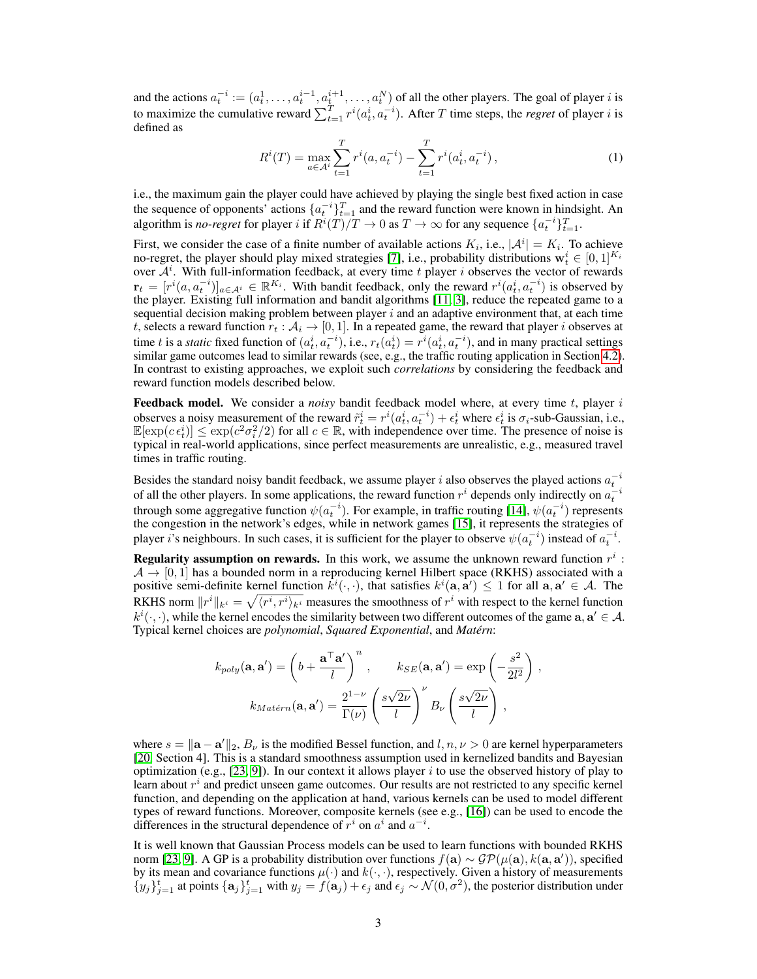and the actions  $a_t^{-i} := (a_t^1, \dots, a_t^{i-1}, a_t^{i+1}, \dots, a_t^N)$  of all the other players. The goal of player *i* is to maximize the cumulative reward  $\sum_{t=1}^{T} r^{i} (a_t^{i}, a_t^{-i})$ . After T time steps, the *regret* of player *i* is defined as

$$
R^{i}(T) = \max_{a \in \mathcal{A}^{i}} \sum_{t=1}^{T} r^{i}(a, a_{t}^{-i}) - \sum_{t=1}^{T} r^{i}(a_{t}^{i}, a_{t}^{-i}),
$$
\n(1)

i.e., the maximum gain the player could have achieved by playing the single best fixed action in case the sequence of opponents' actions  $\{a_t^{-i}\}_{t=1}^T$  and the reward function were known in hindsight. An algorithm is *no-regret* for player *i* if  $R^{i}(T)/T \to 0$  as  $T \to \infty$  for any sequence  $\{a_t^{-i}\}_{t=1}^T$ .

First, we consider the case of a finite number of available actions  $K_i$ , i.e.,  $|A^i| = K_i$ . To achieve no-regret, the player should play mixed strategies [\[7\]](#page-8-8), i.e., probability distributions  $\mathbf{w}_t^i \in [0, 1]^{K_i}$ over  $A<sup>i</sup>$ . With full-information feedback, at every time t player i observes the vector of rewards  $\mathbf{r}_t = [r^i(a, a_t^{-i})]_{a \in \mathcal{A}^i} \in \mathbb{R}^{K_i}$ . With bandit feedback, only the reward  $r^i(a_t^i, a_t^{-i})$  is observed by the player. Existing full information and bandit algorithms [\[11,](#page-8-2) [3\]](#page-8-3), reduce the repeated game to a sequential decision making problem between player  $i$  and an adaptive environment that, at each time t, selects a reward function  $r_t : \mathcal{A}_i \to [0,1]$ . In a repeated game, the reward that player i observes at time t is a *static* fixed function of  $(a_t^i, a_t^{-i})$ , i.e.,  $r_t(a_t^i) = r^i(a_t^i, a_t^{-i})$ , and in many practical settings similar game outcomes lead to similar rewards (see, e.g., the traffic routing application in Section [4.2\)](#page-5-0). In contrast to existing approaches, we exploit such *correlations* by considering the feedback and reward function models described below.

Feedback model. We consider a *noisy* bandit feedback model where, at every time t, player i observes a noisy measurement of the reward  $\tilde{r}_t^i = r^i(a_t^i, a_t^{-i}) + \epsilon_t^i$  where  $\epsilon_t^i$  is  $\sigma_i$ -sub-Gaussian, i.e.,  $\mathbb{E}[\exp(c\epsilon_t^i)] \leq \exp(c^2\sigma_i^2/2)$  for all  $c \in \mathbb{R}$ , with independence over time. The presence of noise is typical in real-world applications, since perfect measurements are unrealistic, e.g., measured travel times in traffic routing.

Besides the standard noisy bandit feedback, we assume player i also observes the played actions  $a_t^{-i}$ of all the other players. In some applications, the reward function  $r^i$  depends only indirectly on  $a_t^{-i}$ through some aggregative function  $\psi(a_t^{-i})$ . For example, in traffic routing [\[14\]](#page-8-0),  $\psi(a_t^{-i})$  represents the congestion in the network's edges, while in network games [\[15\]](#page-8-10), it represents the strategies of player i's neighbours. In such cases, it is sufficient for the player to observe  $\psi(a_t^{-i})$  instead of  $a_t^{-i}$ .

**Regularity assumption on rewards.** In this work, we assume the unknown reward function  $r^i$ :  $\mathcal{A} \rightarrow [0, 1]$  has a bounded norm in a reproducing kernel Hilbert space (RKHS) associated with a positive semi-definite kernel function  $k^i(\cdot,\cdot)$ , that satisfies  $k^i(\mathbf{a}, \mathbf{a}') \leq 1$  for all  $\mathbf{a}, \mathbf{a}' \in A$ . The RKHS norm  $||r^i||_{k^i} = \sqrt{\langle r^i, r^i \rangle_{k^i}}$  measures the smoothness of  $r^i$  with respect to the kernel function  $k^i(\cdot, \cdot)$ , while the kernel encodes the similarity between two different outcomes of the game  $a, a' \in A$ . Typical kernel choices are *polynomial*, *Squared Exponential*, and *Matérn*:

$$
k_{poly}(\mathbf{a}, \mathbf{a}') = \left(b + \frac{\mathbf{a}^\top \mathbf{a}'}{l}\right)^n, \qquad k_{SE}(\mathbf{a}, \mathbf{a}') = \exp\left(-\frac{s^2}{2l^2}\right),
$$

$$
k_{Matérn}(\mathbf{a}, \mathbf{a}') = \frac{2^{1-\nu}}{\Gamma(\nu)} \left(\frac{s\sqrt{2\nu}}{l}\right)^{\nu} B_{\nu} \left(\frac{s\sqrt{2\nu}}{l}\right),
$$

where  $s = ||\mathbf{a} - \mathbf{a}'||_2$ ,  $B_{\nu}$  is the modified Bessel function, and  $l, n, \nu > 0$  are kernel hyperparameters [\[20,](#page-8-11) Section 4]. This is a standard smoothness assumption used in kernelized bandits and Bayesian optimization (e.g., [\[23,](#page-9-4) [9\]](#page-8-12)). In our context it allows player i to use the observed history of play to learn about  $r^i$  and predict unseen game outcomes. Our results are not restricted to any specific kernel function, and depending on the application at hand, various kernels can be used to model different types of reward functions. Moreover, composite kernels (see e.g., [\[16\]](#page-8-13)) can be used to encode the differences in the structural dependence of  $r^i$  on  $a^i$  and  $a^{-i}$ .

It is well known that Gaussian Process models can be used to learn functions with bounded RKHS norm [\[23,](#page-9-4) [9\]](#page-8-12). A GP is a probability distribution over functions  $f(\mathbf{a}) \sim \mathcal{GP}(\mu(\mathbf{a}), k(\mathbf{a}, \mathbf{a}'))$ , specified by its mean and covariance functions  $\mu(\cdot)$  and  $k(\cdot, \cdot)$ , respectively. Given a history of measurements  $\{y_j\}_{j=1}^t$  at points  $\{a_j\}_{j=1}^t$  with  $y_j = f(a_j) + \epsilon_j$  and  $\epsilon_j \sim \mathcal{N}(0, \sigma^2)$ , the posterior distribution under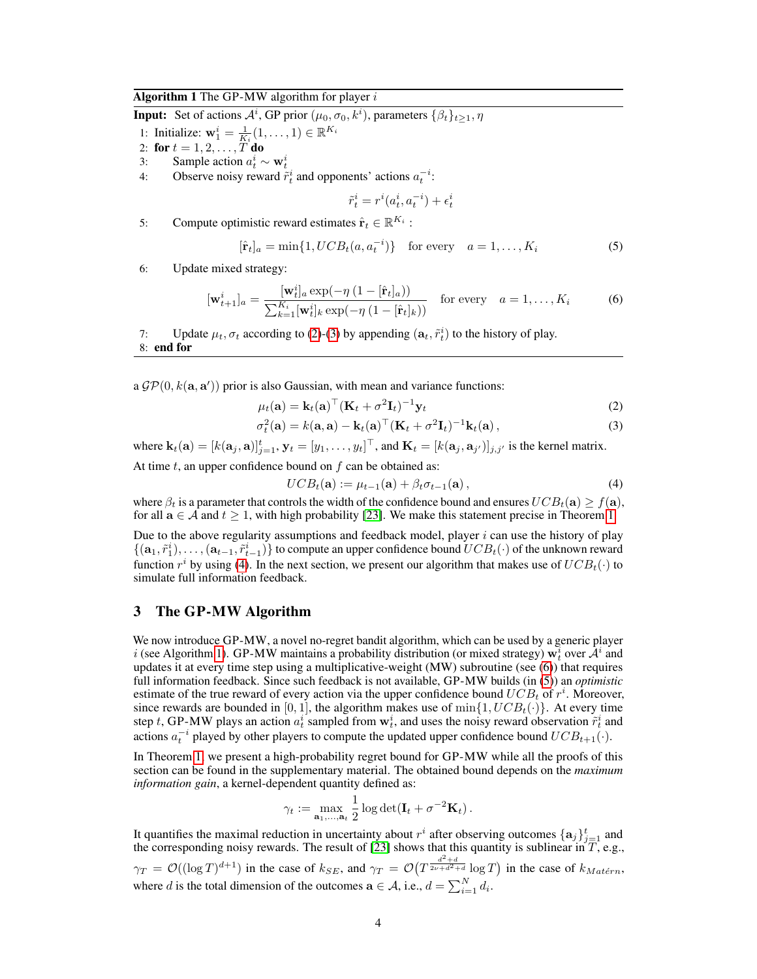#### <span id="page-3-4"></span>Algorithm 1 The GP-MW algorithm for player  $i$

**Input:** Set of actions  $\mathcal{A}^i$ , GP prior  $(\mu_0, \sigma_0, k^i)$ , parameters  $\{\beta_t\}_{t \geq 1}, \eta$ 

1: Initialize:  $\mathbf{w}_1^i = \frac{1}{K_i}(1,\ldots,1) \in \mathbb{R}^{K_i}$ 

2: for  $t = 1, 2, ..., T$  do

- 3: Sample action  $a_t^i \sim \mathbf{w}_t^i$
- 4: Observe noisy reward  $\tilde{r}_t^i$  and opponents' actions  $a_t^{-i}$ :

<span id="page-3-5"></span><span id="page-3-1"></span>
$$
\tilde{r}_t^i = r^i(a_t^i, a_t^{-i}) + \epsilon_t^i
$$

5: Compute optimistic reward estimates  $\hat{\mathbf{r}}_t \in \mathbb{R}^{K_i}$ :

<span id="page-3-0"></span>
$$
[\hat{\mathbf{r}}_t]_a = \min\{1, UCB_t(a, a_t^{-i})\} \quad \text{for every} \quad a = 1, \dots, K_i \tag{5}
$$

6: Update mixed strategy:

$$
[\mathbf{w}_{t+1}^i]_a = \frac{[\mathbf{w}_t^i]_a \exp(-\eta (1 - [\hat{\mathbf{r}}_t]_a))}{\sum_{k=1}^{K_i} [\mathbf{w}_t^i]_k \exp(-\eta (1 - [\hat{\mathbf{r}}_t]_k))} \quad \text{for every} \quad a = 1, \dots, K_i \tag{6}
$$

7: Update  $\mu_t$ ,  $\sigma_t$  according to [\(2\)](#page-3-1)-[\(3\)](#page-3-2) by appending  $(\mathbf{a}_t, \tilde{r}_t^i)$  to the history of play. 8: end for

a  $\mathcal{GP}(0, k(\mathbf{a}, \mathbf{a}'))$  prior is also Gaussian, with mean and variance functions:

$$
\mu_t(\mathbf{a}) = \mathbf{k}_t(\mathbf{a})^\top (\mathbf{K}_t + \sigma^2 \mathbf{I}_t)^{-1} \mathbf{y}_t
$$
\n(2)

$$
\sigma_t^2(\mathbf{a}) = k(\mathbf{a}, \mathbf{a}) - \mathbf{k}_t(\mathbf{a})^\top (\mathbf{K}_t + \sigma^2 \mathbf{I}_t)^{-1} \mathbf{k}_t(\mathbf{a}), \tag{3}
$$

where  $\mathbf{k}_t(\mathbf{a}) = [k(\mathbf{a}_j, \mathbf{a})]_{j=1}^t$ ,  $\mathbf{y}_t = [y_1, \dots, y_t]^\top$ , and  $\mathbf{K}_t = [k(\mathbf{a}_j, \mathbf{a}_{j'})]_{j,j'}$  is the kernel matrix.

At time  $t$ , an upper confidence bound on  $f$  can be obtained as:

<span id="page-3-3"></span><span id="page-3-2"></span>
$$
UCBt(\mathbf{a}) := \mu_{t-1}(\mathbf{a}) + \beta_t \sigma_{t-1}(\mathbf{a}), \qquad (4)
$$

where  $\beta_t$  is a parameter that controls the width of the confidence bound and ensures  $UCB_t(\mathbf{a}) \ge f(\mathbf{a})$ , for all  $a \in A$  and  $t \ge 1$ , with high probability [\[23\]](#page-9-4). We make this statement precise in Theorem [1.](#page-4-0)

Due to the above regularity assumptions and feedback model, player  $i$  can use the history of play  $\{(a_1, \tilde{r}_1), \ldots, (a_{t-1}, \tilde{r}_{t-1})\}$  to compute an upper confidence bound  $UCB_t(\cdot)$  of the unknown reward function  $r^i$  by using [\(4\)](#page-3-3). In the next section, we present our algorithm that makes use of  $UCB_t(\cdot)$  to simulate full information feedback.

## 3 The GP-MW Algorithm

We now introduce GP-MW, a novel no-regret bandit algorithm, which can be used by a generic player i (see Algorithm [1\)](#page-3-4). GP-MW maintains a probability distribution (or mixed strategy)  $\vec{w}_t^i$  over  $\hat{\mathcal{A}}^i$  and updates it at every time step using a multiplicative-weight (MW) subroutine (see [\(6\)](#page-3-0)) that requires full information feedback. Since such feedback is not available, GP-MW builds (in [\(5\)](#page-3-5)) an *optimistic* estimate of the true reward of every action via the upper confidence bound  $UCB_t$  of  $r^i$ . Moreover, since rewards are bounded in [0, 1], the algorithm makes use of  $\min\{1, UCB_t(\cdot)\}\)$ . At every time step t, GP-MW plays an action  $a_t^i$  sampled from  $w_t^i$ , and uses the noisy reward observation  $\tilde{r}_t^i$  and actions  $a_t^{-i}$  played by other players to compute the updated upper confidence bound  $UCB_{t+1}(\cdot).$ 

In Theorem [1,](#page-4-0) we present a high-probability regret bound for GP-MW while all the proofs of this section can be found in the supplementary material. The obtained bound depends on the *maximum information gain*, a kernel-dependent quantity defined as:

$$
\gamma_t := \max_{\mathbf{a}_1,\dots,\mathbf{a}_t} \frac{1}{2} \log \det(\mathbf{I}_t + \sigma^{-2} \mathbf{K}_t).
$$

It quantifies the maximal reduction in uncertainty about  $r^i$  after observing outcomes  $\{a_j\}_{j=1}^t$  and the corresponding noisy rewards. The result of [\[23\]](#page-9-4) shows that this quantity is sublinear in  $T$ , e.g.,  $\gamma_T = \mathcal{O}((\log T)^{d+1})$  in the case of  $k_{SE}$ , and  $\gamma_T = \mathcal{O}(T^{\frac{d^2+d}{2\nu+d^2+d}} \log T)$  in the case of  $k_{Matern}$ , where d is the total dimension of the outcomes  $\mathbf{a} \in \mathcal{A}$ , i.e.,  $d = \sum_{i=1}^{N} d_i$ .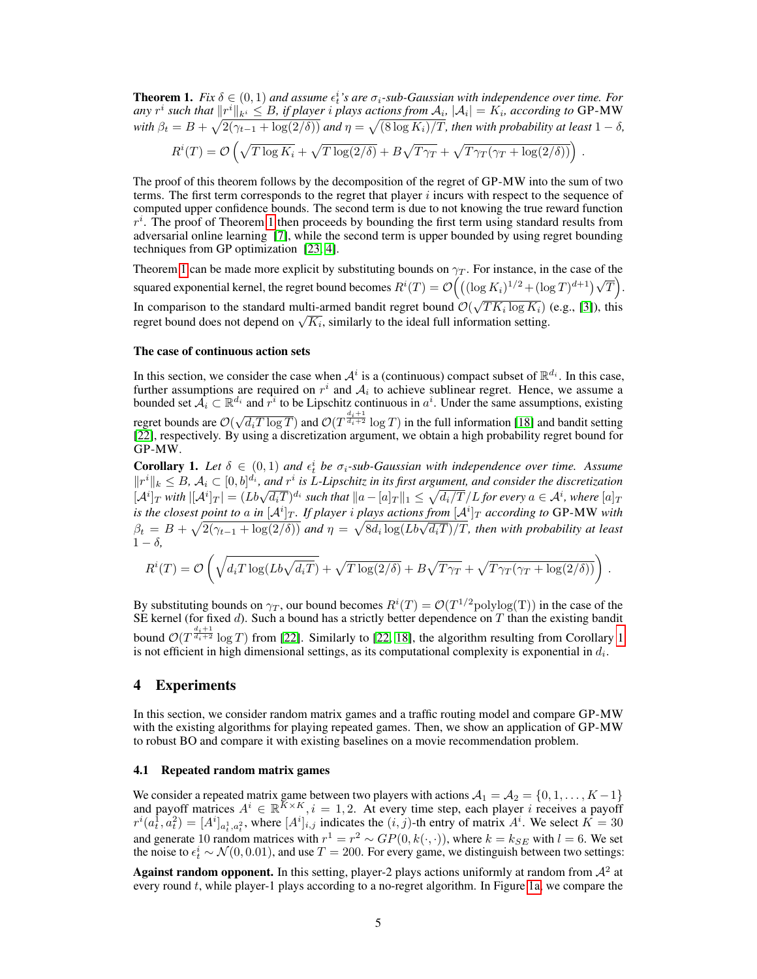<span id="page-4-0"></span>**Theorem 1.** Fix  $\delta \in (0,1)$  and assume  $\epsilon_t^i$ 's are  $\sigma_i$ -sub-Gaussian with independence over time. For any  $r^i$  such that  $\|r^i\|_{k^i} \leq B$ , if player  $i$  plays actions from  $\mathcal{A}_i$ ,  $|\mathcal{A}_i| = K_i$ , according to <code>GP-MW</code> with  $\beta_t = B + \sqrt{2(\gamma_{t-1} + \log(2/\delta))}$  and  $\eta = \sqrt{(8\log K_i)/T}$ , then with probability at least  $1 - \delta$ ,

$$
R^{i}(T) = \mathcal{O}\left(\sqrt{T\log K_i} + \sqrt{T\log(2/\delta)} + B\sqrt{T\gamma_T} + \sqrt{T\gamma_T(\gamma_T + \log(2/\delta))}\right).
$$

The proof of this theorem follows by the decomposition of the regret of GP-MW into the sum of two terms. The first term corresponds to the regret that player  $i$  incurs with respect to the sequence of computed upper confidence bounds. The second term is due to not knowing the true reward function  $r^i$ . The proof of Theorem [1](#page-4-0) then proceeds by bounding the first term using standard results from adversarial online learning [\[7\]](#page-8-8), while the second term is upper bounded by using regret bounding techniques from GP optimization [\[23,](#page-9-4) [4\]](#page-8-14).

Theorem [1](#page-4-0) can be made more explicit by substituting bounds on  $\gamma_T$ . For instance, in the case of the squared exponential kernel, the regret bound becomes  $R^{i}(T) = \mathcal{O}\left(\left((\log K_{i})^{1/2} + (\log T)^{d+1}\right)\sqrt{T}\right)$ . In comparison to the standard multi-armed bandit regret bound  $\mathcal{O}(\sqrt{TK_i \log K_i})$  (e.g., [\[3\]](#page-8-3)), this In comparison to the standard multi-armed bandit regret bound  $U(\sqrt{I} K_i \log K_i)$ <br>regret bound does not depend on  $\sqrt{K_i}$ , similarly to the ideal full information setting.

#### The case of continuous action sets

In this section, we consider the case when  $A^i$  is a (continuous) compact subset of  $\mathbb{R}^{d_i}$ . In this case, further assumptions are required on  $r^i$  and  $A_i$  to achieve sublinear regret. Hence, we assume a bounded set  $A_i \subset \mathbb{R}^{d_i}$  and  $r^i$  to be Lipschitz continuous in  $a^i$ . Under the same assumptions, existing regret bounds are  $\mathcal{O}(\sqrt{d_i T \log T})$  and  $\mathcal{O}(T^{\frac{d_i+1}{d_i+2}} \log T)$  in the full information [\[18\]](#page-8-5) and bandit setting [\[22\]](#page-9-2), respectively. By using a discretization argument, we obtain a high probability regret bound for GP-MW.

<span id="page-4-1"></span>**Corollary 1.** Let  $\delta \in (0,1)$  and  $\epsilon_t^i$  be  $\sigma_i$ -sub-Gaussian with independence over time. Assume  $||r^i||_k \leq B$ ,  $\mathcal{A}_i \subset [0,b]^{d_i}$ , and  $r^i$  is L-Lipschitz in its first argument, and consider the discretization  $\mathbb{E}[A^i]_T$  with  $\mathbb{E}[A^i]_T = (Lb\sqrt{d_iT})^{d_i}$  such that  $\|a - [a]_T\|_1 \leq \sqrt{d_i/T}/L$  for every  $a \in A^i$ , where  $[a]_T$ is the closest point to a in  $[\mathcal{A}^i]_T$ . If player  $i$  plays actions from  $[\mathcal{A}^i]_T$  according to GP-MW with  $\beta_t = B + \sqrt{2(\gamma_{t-1} + \log(2/\delta))}$  *and*  $\eta = \sqrt{8d_i \log(Lb\sqrt{d_iT})/T}$ , *then with probability at least*  $1 - \delta$ ,

$$
R^{i}(T) = \mathcal{O}\left(\sqrt{d_{i}T\log(Lb\sqrt{d_{i}T})} + \sqrt{T\log(2/\delta)} + B\sqrt{T\gamma_{T}} + \sqrt{T\gamma_{T}(\gamma_{T} + \log(2/\delta))}\right)
$$

.

By substituting bounds on  $\gamma_T$ , our bound becomes  $R^i(T) = \mathcal{O}(T^{1/2} \text{polylog}(T))$  in the case of the SE kernel (for fixed  $d$ ). Such a bound has a strictly better dependence on T than the existing bandit bound  $\mathcal{O}(T^{\frac{d_i+1}{d_i+2}} \log T)$  from [\[22\]](#page-9-2). Similarly to [\[22,](#page-9-2) [18\]](#page-8-5), the algorithm resulting from Corollary [1](#page-4-1) is not efficient in high dimensional settings, as its computational complexity is exponential in  $d_i$ .

#### 4 Experiments

In this section, we consider random matrix games and a traffic routing model and compare GP-MW with the existing algorithms for playing repeated games. Then, we show an application of GP-MW to robust BO and compare it with existing baselines on a movie recommendation problem.

#### 4.1 Repeated random matrix games

We consider a repeated matrix game between two players with actions  $A_1 = A_2 = \{0, 1, \ldots, K - 1\}$ and payoff matrices  $A^i \in \mathbb{R}^{K \times K}$ ,  $i = 1, 2$ . At every time step, each player i receives a payoff  $r^i(a_t^1, a_t^2) = [A^i]_{a_t^1, a_t^2}$ , where  $[A^i]_{i,j}$  indicates the  $(i, j)$ -th entry of matrix  $A^i$ . We select  $K = 30$ and generate 10 random matrices with  $r^1 = r^2 \sim GP(0, k(\cdot, \cdot))$ , where  $k = k_{SE}$  with  $l = 6$ . We set the noise to  $\epsilon_t^i \sim \mathcal{N}(0, 0.01)$ , and use  $T = 200$ . For every game, we distinguish between two settings:

Against random opponent. In this setting, player-2 plays actions uniformly at random from  $\mathcal{A}^2$  at every round t, while player-1 plays according to a no-regret algorithm. In Figure [1a,](#page-5-1) we compare the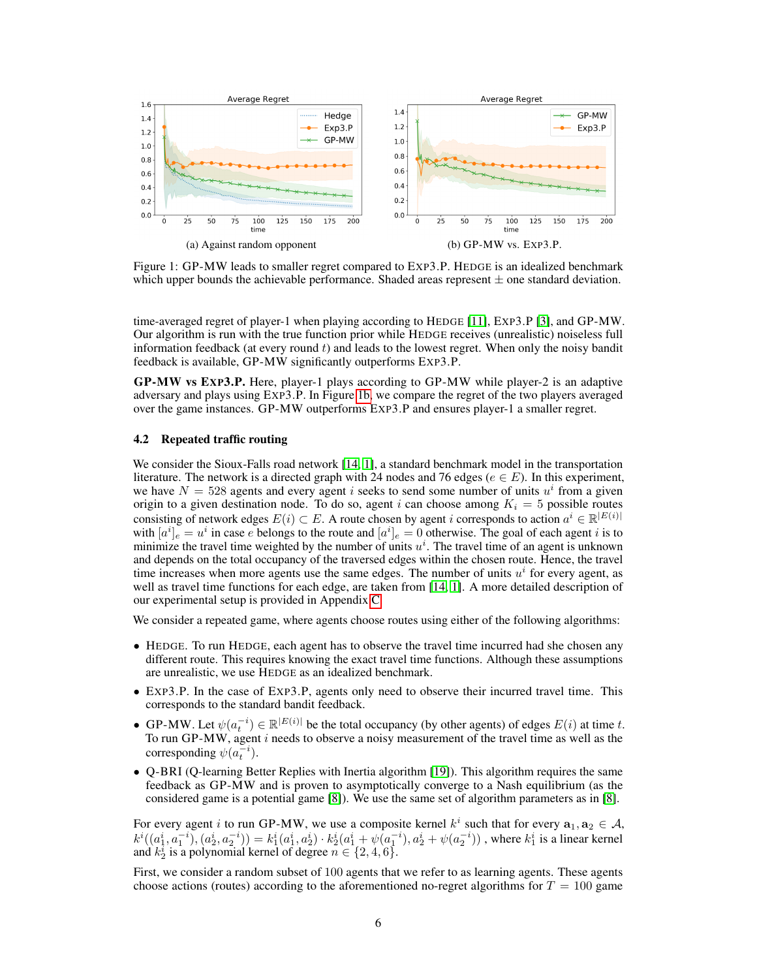<span id="page-5-1"></span>

Figure 1: GP-MW leads to smaller regret compared to EXP3.P. HEDGE is an idealized benchmark which upper bounds the achievable performance. Shaded areas represent  $\pm$  one standard deviation.

time-averaged regret of player-1 when playing according to HEDGE [\[11\]](#page-8-2), EXP3.P [\[3\]](#page-8-3), and GP-MW. Our algorithm is run with the true function prior while HEDGE receives (unrealistic) noiseless full information feedback (at every round  $t$ ) and leads to the lowest regret. When only the noisy bandit feedback is available, GP-MW significantly outperforms EXP3.P.

GP-MW vs EXP3.P. Here, player-1 plays according to GP-MW while player-2 is an adaptive adversary and plays using EXP3.P. In Figure [1b,](#page-5-1) we compare the regret of the two players averaged over the game instances. GP-MW outperforms EXP3.P and ensures player-1 a smaller regret.

#### <span id="page-5-0"></span>4.2 Repeated traffic routing

We consider the Sioux-Falls road network [\[14,](#page-8-0) [1\]](#page-8-15), a standard benchmark model in the transportation literature. The network is a directed graph with 24 nodes and 76 edges ( $e \in E$ ). In this experiment, we have  $N = 528$  agents and every agent i seeks to send some number of units  $u^i$  from a given origin to a given destination node. To do so, agent i can choose among  $K_i = 5$  possible routes consisting of network edges  $E(i) \subset E$ . A route chosen by agent i corresponds to action  $a^i \in \mathbb{R}^{|E(i)|}$ with  $[a^i]_e = u^i$  in case e belongs to the route and  $[a^i]_e = 0$  otherwise. The goal of each agent i is to minimize the travel time weighted by the number of units  $u^i$ . The travel time of an agent is unknown and depends on the total occupancy of the traversed edges within the chosen route. Hence, the travel time increases when more agents use the same edges. The number of units  $u^i$  for every agent, as well as travel time functions for each edge, are taken from [\[14,](#page-8-0) [1\]](#page-8-15). A more detailed description of our experimental setup is provided in Appendix [C.](#page-12-0)

We consider a repeated game, where agents choose routes using either of the following algorithms:

- HEDGE. To run HEDGE, each agent has to observe the travel time incurred had she chosen any different route. This requires knowing the exact travel time functions. Although these assumptions are unrealistic, we use HEDGE as an idealized benchmark.
- EXP3.P. In the case of EXP3.P, agents only need to observe their incurred travel time. This corresponds to the standard bandit feedback.
- GP-MW. Let  $\psi(a_t^{-i}) \in \mathbb{R}^{|E(i)|}$  be the total occupancy (by other agents) of edges  $E(i)$  at time t. To run GP-MW, agent  $i$  needs to observe a noisy measurement of the travel time as well as the corresponding  $\psi(a_t^{-i})$ .
- Q-BRI (Q-learning Better Replies with Inertia algorithm [\[19\]](#page-8-16)). This algorithm requires the same feedback as GP-MW and is proven to asymptotically converge to a Nash equilibrium (as the considered game is a potential game [\[8\]](#page-8-17)). We use the same set of algorithm parameters as in [\[8\]](#page-8-17).

For every agent i to run GP-MW, we use a composite kernel  $k^i$  such that for every  $a_1, a_2 \in A$ ,  $k^i((a_1^i, a_1^{-i}), (a_2^i, a_2^{-i})) = k_1^i(a_1^i, a_2^i) \cdot k_2^i(a_1^i + \psi(a_1^{-i}), a_2^i + \psi(a_2^{-i}))$  , where  $k_1^i$  is a linear kernel and  $k_2^i$  is a polynomial kernel of degree  $n \in \{2, 4, 6\}$ .

First, we consider a random subset of 100 agents that we refer to as learning agents. These agents choose actions (routes) according to the aforementioned no-regret algorithms for  $T = 100$  game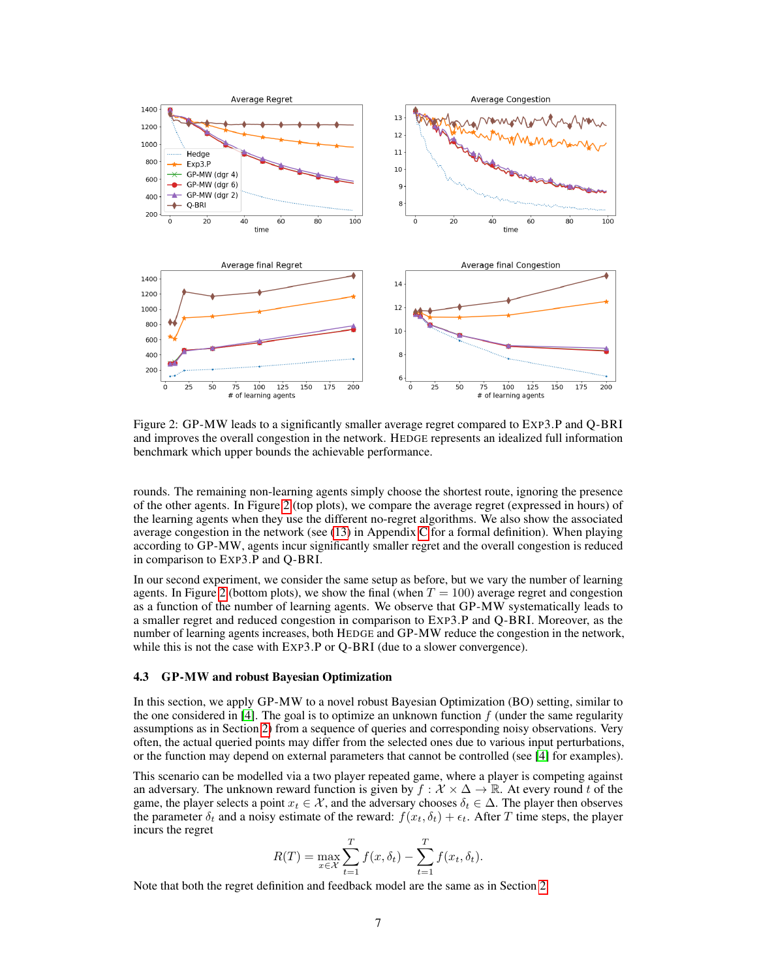<span id="page-6-0"></span>

Figure 2: GP-MW leads to a significantly smaller average regret compared to EXP3.P and Q-BRI and improves the overall congestion in the network. HEDGE represents an idealized full information benchmark which upper bounds the achievable performance.

rounds. The remaining non-learning agents simply choose the shortest route, ignoring the presence of the other agents. In Figure [2](#page-6-0) (top plots), we compare the average regret (expressed in hours) of the learning agents when they use the different no-regret algorithms. We also show the associated average congestion in the network (see [\(13\)](#page-13-0) in Appendix [C](#page-12-0) for a formal definition). When playing according to GP-MW, agents incur significantly smaller regret and the overall congestion is reduced in comparison to EXP3.P and Q-BRI.

In our second experiment, we consider the same setup as before, but we vary the number of learning agents. In Figure [2](#page-6-0) (bottom plots), we show the final (when  $T = 100$ ) average regret and congestion as a function of the number of learning agents. We observe that GP-MW systematically leads to a smaller regret and reduced congestion in comparison to EXP3.P and Q-BRI. Moreover, as the number of learning agents increases, both HEDGE and GP-MW reduce the congestion in the network, while this is not the case with EXP3.P or Q-BRI (due to a slower convergence).

#### 4.3 GP-MW and robust Bayesian Optimization

In this section, we apply GP-MW to a novel robust Bayesian Optimization (BO) setting, similar to the one considered in [\[4\]](#page-8-14). The goal is to optimize an unknown function  $f$  (under the same regularity assumptions as in Section [2\)](#page-1-2) from a sequence of queries and corresponding noisy observations. Very often, the actual queried points may differ from the selected ones due to various input perturbations, or the function may depend on external parameters that cannot be controlled (see [\[4\]](#page-8-14) for examples).

This scenario can be modelled via a two player repeated game, where a player is competing against an adversary. The unknown reward function is given by  $f : \mathcal{X} \times \Delta \rightarrow \mathbb{R}$ . At every round t of the game, the player selects a point  $x_t \in \mathcal{X}$ , and the adversary chooses  $\delta_t \in \Delta$ . The player then observes the parameter  $\delta_t$  and a noisy estimate of the reward:  $f(x_t, \delta_t) + \epsilon_t$ . After T time steps, the player incurs the regret

$$
R(T) = \max_{x \in \mathcal{X}} \sum_{t=1}^{T} f(x, \delta_t) - \sum_{t=1}^{T} f(x_t, \delta_t).
$$

Note that both the regret definition and feedback model are the same as in Section [2.](#page-1-2)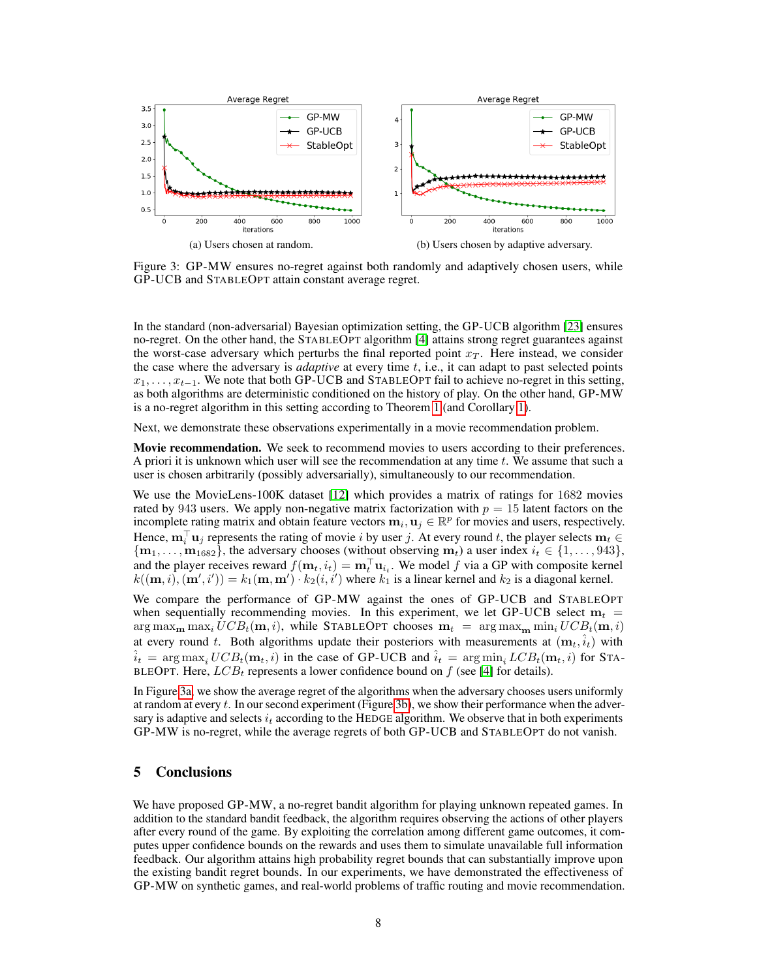<span id="page-7-0"></span>

Figure 3: GP-MW ensures no-regret against both randomly and adaptively chosen users, while GP-UCB and STABLEOPT attain constant average regret.

In the standard (non-adversarial) Bayesian optimization setting, the GP-UCB algorithm [\[23\]](#page-9-4) ensures no-regret. On the other hand, the STABLEOPT algorithm [\[4\]](#page-8-14) attains strong regret guarantees against the worst-case adversary which perturbs the final reported point  $x_T$ . Here instead, we consider the case where the adversary is *adaptive* at every time t, i.e., it can adapt to past selected points  $x_1, \ldots, x_{t-1}$ . We note that both GP-UCB and STABLEOPT fail to achieve no-regret in this setting, as both algorithms are deterministic conditioned on the history of play. On the other hand, GP-MW is a no-regret algorithm in this setting according to Theorem [1](#page-4-0) (and Corollary [1\)](#page-4-1).

Next, we demonstrate these observations experimentally in a movie recommendation problem.

Movie recommendation. We seek to recommend movies to users according to their preferences. A priori it is unknown which user will see the recommendation at any time  $t$ . We assume that such a user is chosen arbitrarily (possibly adversarially), simultaneously to our recommendation.

We use the MovieLens-100K dataset [\[12\]](#page-8-18) which provides a matrix of ratings for 1682 movies rated by 943 users. We apply non-negative matrix factorization with  $p = 15$  latent factors on the incomplete rating matrix and obtain feature vectors  $m_i, u_j \in \mathbb{R}^p$  for movies and users, respectively. Hence,  $\mathbf{m}_i^{\top} \mathbf{u}_j$  represents the rating of movie i by user j. At every round t, the player selects  $\mathbf{m}_t \in$  ${\bf m}_1, \ldots, {\bf m}_{1682}$ , the adversary chooses (without observing  ${\bf m}_t$ ) a user index  $i_t \in \{1, \ldots, 943\}$ , and the player receives reward  $f(\mathbf{m}_t, i_t) = \mathbf{m}_t^\top \mathbf{u}_{i_t}$ . We model f via a GP with composite kernel  $k((\mathbf{m}, i), (\mathbf{m}', i')) = k_1(\mathbf{m}, \mathbf{m}') \cdot k_2(i, i')$  where  $k_1$  is a linear kernel and  $k_2$  is a diagonal kernel.

We compare the performance of GP-MW against the ones of GP-UCB and STABLEOPT when sequentially recommending movies. In this experiment, we let GP-UCB select  $m_t$  =  $\arg \max_{\mathbf{m}} \max_i UCB_t(\mathbf{m}, i)$ , while STABLEOPT chooses  $\mathbf{m}_t = \arg \max_{\mathbf{m}} \min_i UCB_t(\mathbf{m}, i)$ at every round t. Both algorithms update their posteriors with measurements at  $(\mathbf{m}_t, \hat{i}_t)$  with  $\hat{i}_t = \arg \max_i UCB_t(\mathbf{m}_t, i)$  in the case of GP-UCB and  $\hat{i}_t = \arg \min_i LCB_t(\mathbf{m}_t, i)$  for STA-BLEOPT. Here,  $LCB_t$  represents a lower confidence bound on f (see [\[4\]](#page-8-14) for details).

In Figure [3a,](#page-7-0) we show the average regret of the algorithms when the adversary chooses users uniformly at random at every  $t$ . In our second experiment (Figure [3b\)](#page-7-0), we show their performance when the adversary is adaptive and selects  $i_t$  according to the HEDGE algorithm. We observe that in both experiments GP-MW is no-regret, while the average regrets of both GP-UCB and STABLEOPT do not vanish.

## 5 Conclusions

We have proposed GP-MW, a no-regret bandit algorithm for playing unknown repeated games. In addition to the standard bandit feedback, the algorithm requires observing the actions of other players after every round of the game. By exploiting the correlation among different game outcomes, it computes upper confidence bounds on the rewards and uses them to simulate unavailable full information feedback. Our algorithm attains high probability regret bounds that can substantially improve upon the existing bandit regret bounds. In our experiments, we have demonstrated the effectiveness of GP-MW on synthetic games, and real-world problems of traffic routing and movie recommendation.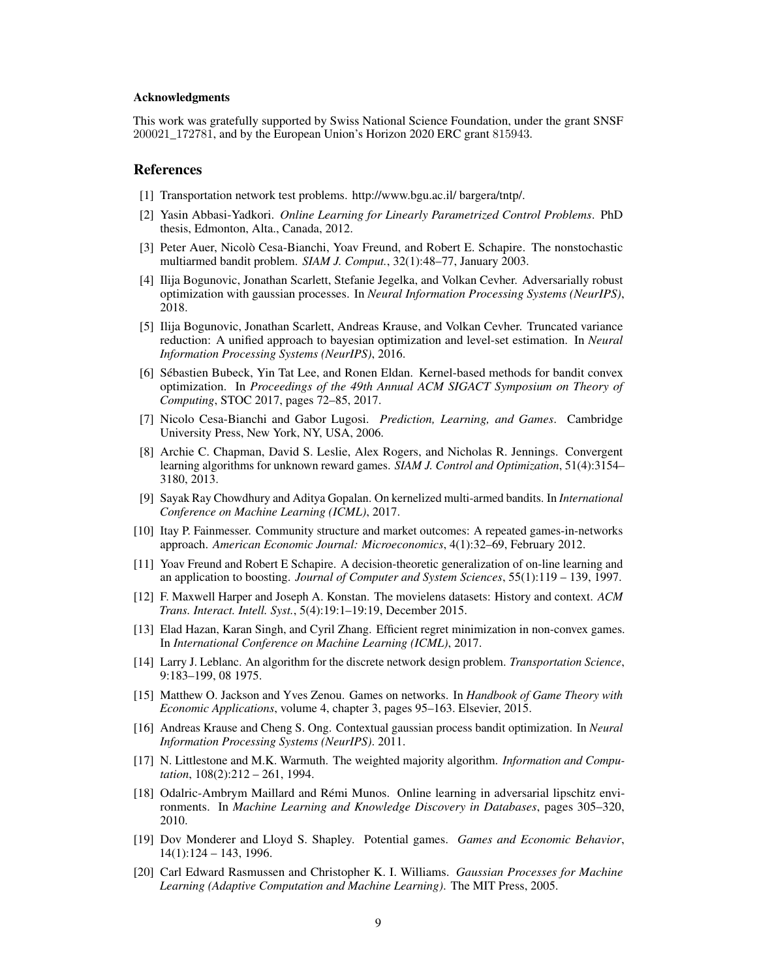#### Acknowledgments

This work was gratefully supported by Swiss National Science Foundation, under the grant SNSF 200021\_172781, and by the European Union's Horizon 2020 ERC grant 815943.

#### References

- <span id="page-8-15"></span>[1] Transportation network test problems. http://www.bgu.ac.il/ bargera/tntp/.
- <span id="page-8-19"></span>[2] Yasin Abbasi-Yadkori. *Online Learning for Linearly Parametrized Control Problems*. PhD thesis, Edmonton, Alta., Canada, 2012.
- <span id="page-8-3"></span>[3] Peter Auer, Nicolò Cesa-Bianchi, Yoav Freund, and Robert E. Schapire. The nonstochastic multiarmed bandit problem. *SIAM J. Comput.*, 32(1):48–77, January 2003.
- <span id="page-8-14"></span>[4] Ilija Bogunovic, Jonathan Scarlett, Stefanie Jegelka, and Volkan Cevher. Adversarially robust optimization with gaussian processes. In *Neural Information Processing Systems (NeurIPS)*, 2018.
- <span id="page-8-9"></span>[5] Ilija Bogunovic, Jonathan Scarlett, Andreas Krause, and Volkan Cevher. Truncated variance reduction: A unified approach to bayesian optimization and level-set estimation. In *Neural Information Processing Systems (NeurIPS)*, 2016.
- <span id="page-8-7"></span>[6] Sébastien Bubeck, Yin Tat Lee, and Ronen Eldan. Kernel-based methods for bandit convex optimization. In *Proceedings of the 49th Annual ACM SIGACT Symposium on Theory of Computing*, STOC 2017, pages 72–85, 2017.
- <span id="page-8-8"></span>[7] Nicolo Cesa-Bianchi and Gabor Lugosi. *Prediction, Learning, and Games*. Cambridge University Press, New York, NY, USA, 2006.
- <span id="page-8-17"></span>[8] Archie C. Chapman, David S. Leslie, Alex Rogers, and Nicholas R. Jennings. Convergent learning algorithms for unknown reward games. *SIAM J. Control and Optimization*, 51(4):3154– 3180, 2013.
- <span id="page-8-12"></span>[9] Sayak Ray Chowdhury and Aditya Gopalan. On kernelized multi-armed bandits. In *International Conference on Machine Learning (ICML)*, 2017.
- <span id="page-8-1"></span>[10] Itay P. Fainmesser. Community structure and market outcomes: A repeated games-in-networks approach. *American Economic Journal: Microeconomics*, 4(1):32–69, February 2012.
- <span id="page-8-2"></span>[11] Yoav Freund and Robert E Schapire. A decision-theoretic generalization of on-line learning and an application to boosting. *Journal of Computer and System Sciences*, 55(1):119 – 139, 1997.
- <span id="page-8-18"></span>[12] F. Maxwell Harper and Joseph A. Konstan. The movielens datasets: History and context. *ACM Trans. Interact. Intell. Syst.*, 5(4):19:1–19:19, December 2015.
- <span id="page-8-6"></span>[13] Elad Hazan, Karan Singh, and Cyril Zhang. Efficient regret minimization in non-convex games. In *International Conference on Machine Learning (ICML)*, 2017.
- <span id="page-8-0"></span>[14] Larry J. Leblanc. An algorithm for the discrete network design problem. *Transportation Science*, 9:183–199, 08 1975.
- <span id="page-8-10"></span>[15] Matthew O. Jackson and Yves Zenou. Games on networks. In *Handbook of Game Theory with Economic Applications*, volume 4, chapter 3, pages 95–163. Elsevier, 2015.
- <span id="page-8-13"></span>[16] Andreas Krause and Cheng S. Ong. Contextual gaussian process bandit optimization. In *Neural Information Processing Systems (NeurIPS)*. 2011.
- <span id="page-8-4"></span>[17] N. Littlestone and M.K. Warmuth. The weighted majority algorithm. *Information and Computation*, 108(2):212 – 261, 1994.
- <span id="page-8-5"></span>[18] Odalric-Ambrym Maillard and Rémi Munos. Online learning in adversarial lipschitz environments. In *Machine Learning and Knowledge Discovery in Databases*, pages 305–320, 2010.
- <span id="page-8-16"></span>[19] Dov Monderer and Lloyd S. Shapley. Potential games. *Games and Economic Behavior*, 14(1):124 – 143, 1996.
- <span id="page-8-11"></span>[20] Carl Edward Rasmussen and Christopher K. I. Williams. *Gaussian Processes for Machine Learning (Adaptive Computation and Machine Learning)*. The MIT Press, 2005.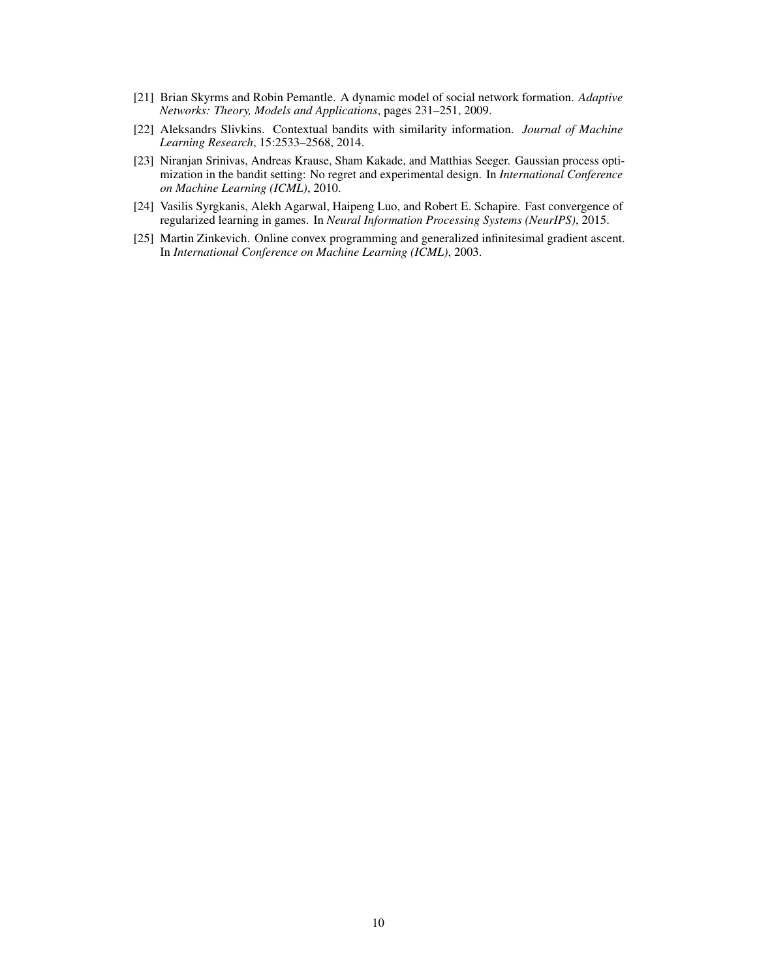- <span id="page-9-0"></span>[21] Brian Skyrms and Robin Pemantle. A dynamic model of social network formation. *Adaptive Networks: Theory, Models and Applications*, pages 231–251, 2009.
- <span id="page-9-2"></span>[22] Aleksandrs Slivkins. Contextual bandits with similarity information. *Journal of Machine Learning Research*, 15:2533–2568, 2014.
- <span id="page-9-4"></span>[23] Niranjan Srinivas, Andreas Krause, Sham Kakade, and Matthias Seeger. Gaussian process optimization in the bandit setting: No regret and experimental design. In *International Conference on Machine Learning (ICML)*, 2010.
- <span id="page-9-3"></span>[24] Vasilis Syrgkanis, Alekh Agarwal, Haipeng Luo, and Robert E. Schapire. Fast convergence of regularized learning in games. In *Neural Information Processing Systems (NeurIPS)*, 2015.
- <span id="page-9-1"></span>[25] Martin Zinkevich. Online convex programming and generalized infinitesimal gradient ascent. In *International Conference on Machine Learning (ICML)*, 2003.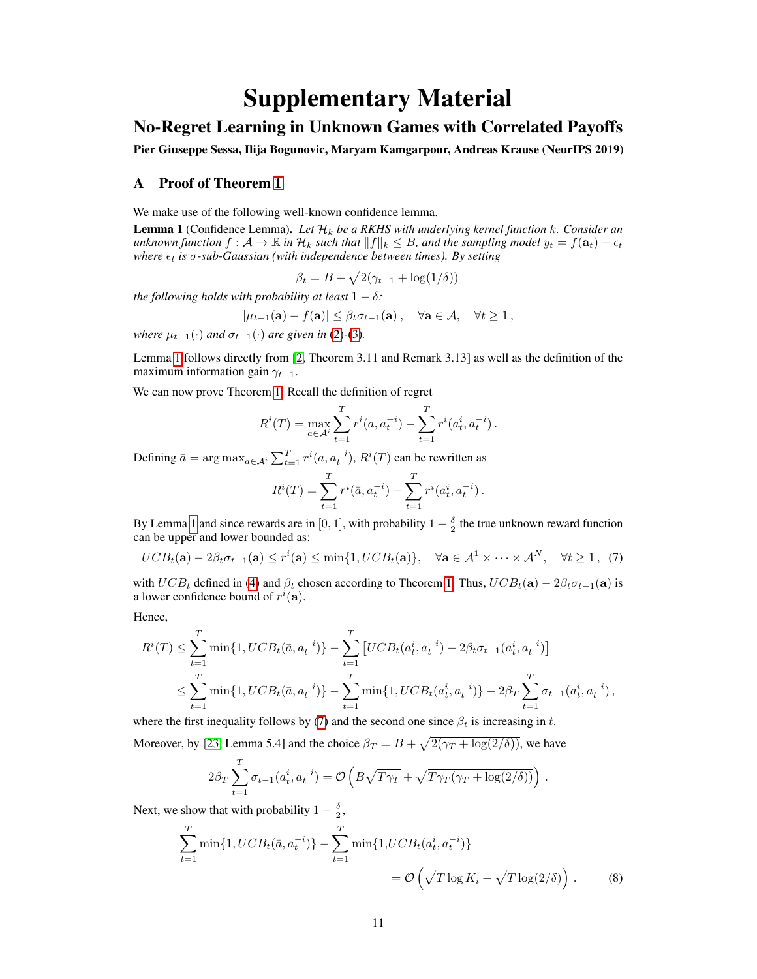# Supplementary Material

## No-Regret Learning in Unknown Games with Correlated Payoffs

Pier Giuseppe Sessa, Ilija Bogunovic, Maryam Kamgarpour, Andreas Krause (NeurIPS 2019)

## A Proof of Theorem [1](#page-4-0)

We make use of the following well-known confidence lemma.

<span id="page-10-0"></span>Lemma 1 (Confidence Lemma). *Let* H<sup>k</sup> *be a RKHS with underlying kernel function* k*. Consider an unknown function*  $f: \mathcal{A} \to \mathbb{R}$  *in*  $\mathcal{H}_k$  *such that*  $||f||_k \leq B$ *, and the sampling model*  $y_t = f(\mathbf{a}_t) + \epsilon_t$ *where*  $\epsilon_t$  *is*  $\sigma$ -sub-Gaussian (with independence between times). By setting

$$
\beta_t = B + \sqrt{2(\gamma_{t-1} + \log(1/\delta))}
$$

*the following holds with probability at least*  $1 - \delta$ *:* 

$$
|\mu_{t-1}(\mathbf{a}) - f(\mathbf{a})| \leq \beta_t \sigma_{t-1}(\mathbf{a}), \quad \forall \mathbf{a} \in \mathcal{A}, \quad \forall t \geq 1,
$$

*where*  $\mu_{t-1}(\cdot)$  *and*  $\sigma_{t-1}(\cdot)$  *are given in* [\(2\)](#page-3-1)-[\(3\)](#page-3-2)*.* 

Lemma [1](#page-10-0) follows directly from [\[2,](#page-8-19) Theorem 3.11 and Remark 3.13] as well as the definition of the maximum information gain  $\gamma_{t-1}$ .

We can now prove Theorem [1.](#page-4-0) Recall the definition of regret

$$
R^{i}(T) = \max_{a \in A^{i}} \sum_{t=1}^{T} r^{i}(a, a_{t}^{-i}) - \sum_{t=1}^{T} r^{i}(a_{t}^{i}, a_{t}^{-i}).
$$

Defining  $\bar{a} = \arg \max_{a \in A^i} \sum_{t=1}^T r^i(a, a_t^{-i}), R^i(T)$  can be rewritten as

<span id="page-10-1"></span>
$$
R^{i}(T) = \sum_{t=1}^{T} r^{i}(\bar{a}, a_{t}^{-i}) - \sum_{t=1}^{T} r^{i}(a_{t}^{i}, a_{t}^{-i}).
$$

By Lemma [1](#page-10-0) and since rewards are in [0, 1], with probability  $1 - \frac{\delta}{2}$  the true unknown reward function can be upper and lower bounded as:

$$
UCB_t(\mathbf{a}) - 2\beta_t \sigma_{t-1}(\mathbf{a}) \le r^i(\mathbf{a}) \le \min\{1, UCB_t(\mathbf{a})\}, \quad \forall \mathbf{a} \in \mathcal{A}^1 \times \cdots \times \mathcal{A}^N, \quad \forall t \ge 1, \tag{7}
$$

with  $UCB_t$  defined in [\(4\)](#page-3-3) and  $\beta_t$  chosen according to Theorem [1.](#page-4-0) Thus,  $UCB_t(\mathbf{a}) - 2\beta_t\sigma_{t-1}(\mathbf{a})$  is a lower confidence bound of  $r^i(\mathbf{a})$ .

Hence,

$$
R^{i}(T) \leq \sum_{t=1}^{T} \min\{1, UCB_{t}(\bar{a}, a_{t}^{-i})\} - \sum_{t=1}^{T} \left[UCB_{t}(a_{t}^{i}, a_{t}^{-i}) - 2\beta_{t}\sigma_{t-1}(a_{t}^{i}, a_{t}^{-i})\right] \leq \sum_{t=1}^{T} \min\{1, UCB_{t}(\bar{a}, a_{t}^{-i})\} - \sum_{t=1}^{T} \min\{1, UCB_{t}(a_{t}^{i}, a_{t}^{-i})\} + 2\beta_{T} \sum_{t=1}^{T} \sigma_{t-1}(a_{t}^{i}, a_{t}^{-i}),
$$

where the first inequality follows by [\(7\)](#page-10-1) and the second one since  $\beta_t$  is increasing in t.

Moreover, by [\[23,](#page-9-4) Lemma 5.4] and the choice  $\beta_T = B + \sqrt{2(\gamma_T + \log(2/\delta))}$ , we have

<span id="page-10-2"></span>
$$
2\beta_T \sum_{t=1}^T \sigma_{t-1}(a_t^i, a_t^{-i}) = \mathcal{O}\left(B\sqrt{T\gamma_T} + \sqrt{T\gamma_T(\gamma_T + \log(2/\delta))}\right).
$$

Next, we show that with probability  $1 - \frac{\delta}{2}$ ,

$$
\sum_{t=1}^{T} \min\{1, UCB_t(\bar{a}, a_t^{-i})\} - \sum_{t=1}^{T} \min\{1, UCB_t(a_t^i, a_t^{-i})\}
$$
  
=  $\mathcal{O}\left(\sqrt{T \log K_i} + \sqrt{T \log(2/\delta)}\right)$ . (8)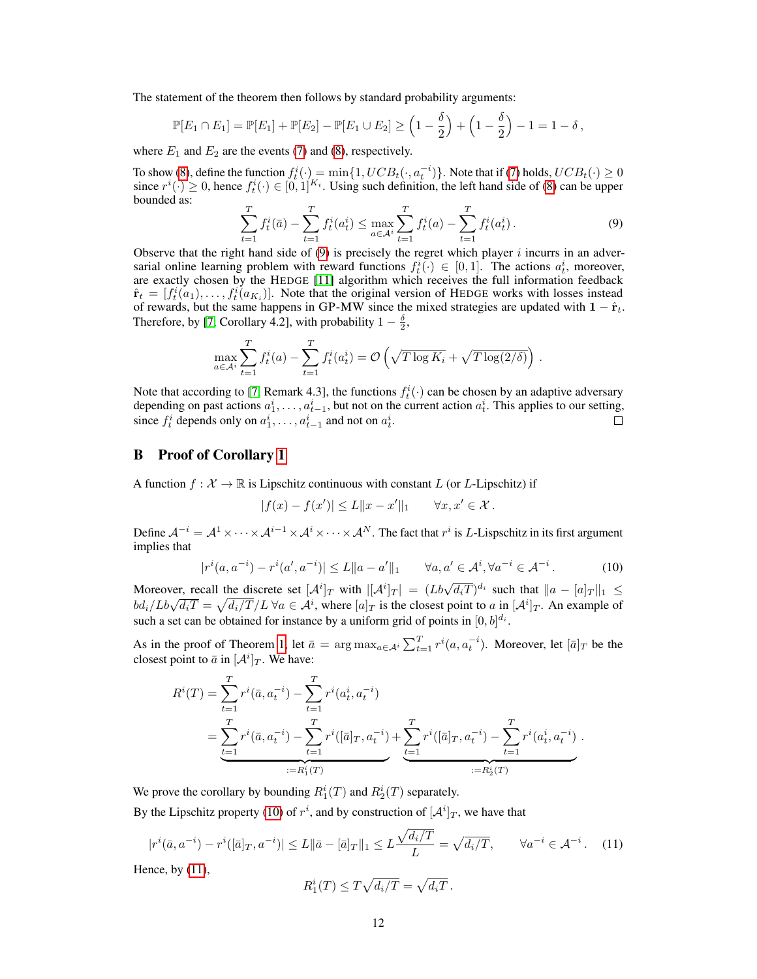The statement of the theorem then follows by standard probability arguments:

$$
\mathbb{P}[E_1 \cap E_1] = \mathbb{P}[E_1] + \mathbb{P}[E_2] - \mathbb{P}[E_1 \cup E_2] \ge \left(1 - \frac{\delta}{2}\right) + \left(1 - \frac{\delta}{2}\right) - 1 = 1 - \delta,
$$

where  $E_1$  and  $E_2$  are the events [\(7\)](#page-10-1) and [\(8\)](#page-10-2), respectively.

To show [\(8\)](#page-10-2), define the function  $f_t^i(\cdot) = \min\{1, UCB_t(\cdot, a_t^{-i})\}\.$  Note that if [\(7\)](#page-10-1) holds,  $UCB_t(\cdot) \ge 0$ since  $r^i(.) \geq 0$ , hence  $f^i_t(.) \in [0,1]^{K_i}$ . Using such definition, the left hand side of [\(8\)](#page-10-2) can be upper bounded as:

<span id="page-11-0"></span>
$$
\sum_{t=1}^{T} f_t^i(\bar{a}) - \sum_{t=1}^{T} f_t^i(a_t^i) \le \max_{a \in A^i} \sum_{t=1}^{T} f_t^i(a) - \sum_{t=1}^{T} f_t^i(a_t^i).
$$
\n(9)

Observe that the right hand side of  $(9)$  is precisely the regret which player i incurrs in an adversarial online learning problem with reward functions  $f_t^i(\cdot) \in [0,1]$ . The actions  $a_t^i$ , moreover, are exactly chosen by the HEDGE [\[11\]](#page-8-2) algorithm which receives the full information feedback  $\hat{\mathbf{r}}_t = [f_t^i(a_1), \dots, f_t^i(a_{K_i})]$ . Note that the original version of HEDGE works with losses instead of rewards, but the same happens in GP-MW since the mixed strategies are updated with  $1 - \hat{r}_t$ . Therefore, by [\[7,](#page-8-8) Corollary 4.2], with probability  $1 - \frac{\delta}{2}$ ,

$$
\max_{a \in \mathcal{A}^i} \sum_{t=1}^T f_t^i(a) - \sum_{t=1}^T f_t^i(a_t^i) = \mathcal{O}\left(\sqrt{T \log K_i} + \sqrt{T \log(2/\delta)}\right).
$$

Note that according to [\[7,](#page-8-8) Remark 4.3], the functions  $f_t^i(\cdot)$  can be chosen by an adaptive adversary depending on past actions  $a_1^i, \ldots, a_{t-1}^i$ , but not on the current action  $a_t^i$ . This applies to our setting, since  $f_t^i$  depends only on  $a_1^i, \ldots, a_{t-1}^i$  and not on  $a_t^i$ .  $\Box$ 

## B Proof of Corollary [1](#page-4-1)

A function  $f: \mathcal{X} \to \mathbb{R}$  is Lipschitz continuous with constant L (or L-Lipschitz) if

$$
|f(x) - f(x')| \le L \|x - x'\|_1 \quad \forall x, x' \in \mathcal{X}.
$$

Define  $\mathcal{A}^{-i} = \mathcal{A}^1 \times \cdots \times \mathcal{A}^{i-1} \times \mathcal{A}^i \times \cdots \times \mathcal{A}^N$ . The fact that  $r^i$  is L-Lispschitz in its first argument implies that

<span id="page-11-1"></span>
$$
|r^{i}(a, a^{-i}) - r^{i}(a', a^{-i})| \le L \|a - a'\|_1 \qquad \forall a, a' \in \mathcal{A}^{i}, \forall a^{-i} \in \mathcal{A}^{-i}.
$$
 (10)

Moreover, recall the discrete set  $[\mathcal{A}^i]_T$  with  $|[\mathcal{A}^i]_T| = (Lb\sqrt{d_iT})^{d_i}$  such that  $||a - [a]_T||_1 \le$ bd<sub>i</sub>/Lb $\sqrt{d_iT} = \sqrt{d_i/T}$   $\sqrt{d_i}$   $\alpha \in \mathcal{A}^i$ , where  $[a]_T$  is the closest point to a in  $[\mathcal{A}^i]_T$ . An example of such a set can be obtained for instance by a uniform grid of points in  $[0, b]^{d_i}$ .

As in the proof of Theorem [1,](#page-4-0) let  $\bar{a} = \arg \max_{a \in A^i} \sum_{t=1}^T r^i(a, a_t^{-i})$ . Moreover, let  $[\bar{a}]_T$  be the closest point to  $\bar{a}$  in  $[A^i]_T$ . We have:

$$
R^{i}(T) = \sum_{t=1}^{T} r^{i}(\bar{a}, a_{t}^{-i}) - \sum_{t=1}^{T} r^{i}(a_{t}^{i}, a_{t}^{-i})
$$
  
= 
$$
\sum_{t=1}^{T} r^{i}(\bar{a}, a_{t}^{-i}) - \sum_{t=1}^{T} r^{i}([\bar{a}]_{T}, a_{t}^{-i}) + \sum_{t=1}^{T} r^{i}([\bar{a}]_{T}, a_{t}^{-i}) - \sum_{t=1}^{T} r^{i}(a_{t}^{i}, a_{t}^{-i})
$$
  
:= 
$$
R_{1}^{i}(T)
$$

We prove the corollary by bounding  $R_1^i(T)$  and  $R_2^i(T)$  separately.

By the Lipschitz property [\(10\)](#page-11-1) of  $r^i$ , and by construction of  $[\mathcal{A}^i]_T$ , we have that

$$
|r^{i}(\bar{a}, a^{-i}) - r^{i}([\bar{a}]_T, a^{-i})| \le L \|\bar{a} - [\bar{a}]_T\|_1 \le L \frac{\sqrt{d_i/T}}{L} = \sqrt{d_i/T}, \qquad \forall a^{-i} \in \mathcal{A}^{-i}.
$$
 (11)

Hence, by [\(11\)](#page-11-2),

<span id="page-11-2"></span>
$$
R_1^i(T) \le T\sqrt{d_i/T} = \sqrt{d_i T}.
$$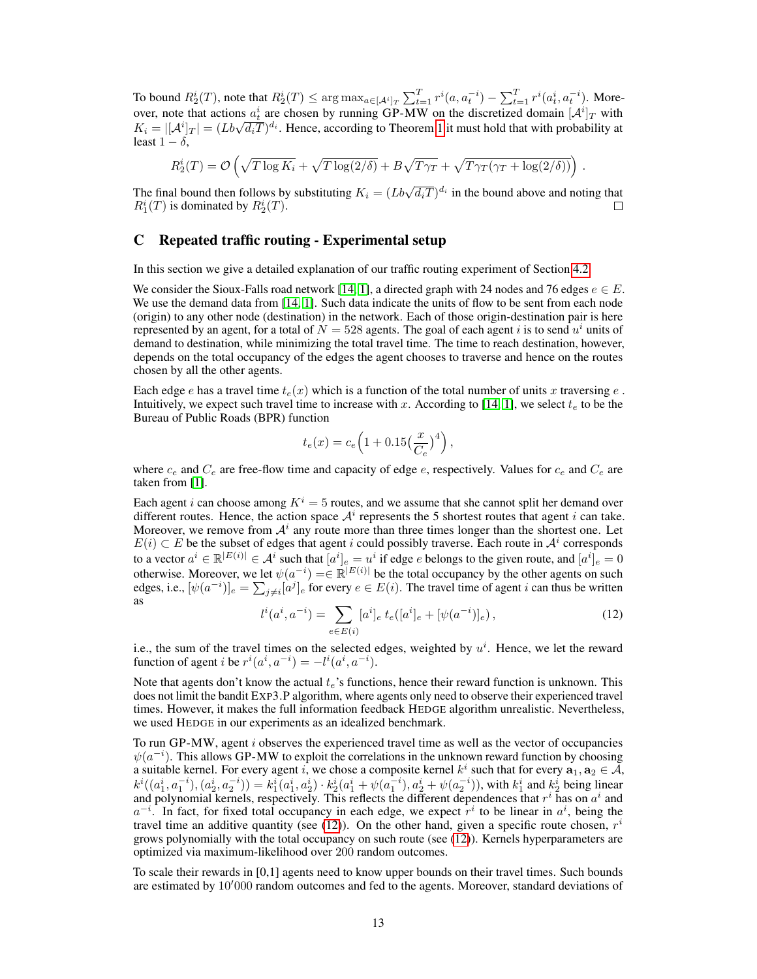To bound  $R_2^i(T)$ , note that  $R_2^i(T) \le \arg \max_{a \in [\mathcal{A}^i]_T} \sum_{t=1}^T r^i(a, a_t^{-i}) - \sum_{t=1}^T r^i(a_t^i, a_t^{-i})$ . Moreover, note that actions  $a_t^i$  are chosen by running GP-MW on the discretized domain  $[A^i]_T$  with over, note that actions  $a_t$  are chosen by running GP-MW on the discretized domain  $[A]_T$  with  $K_i = |[A^i]_T| = (Lb\sqrt{d_iT})^{d_i}$ . Hence, according to Theorem [1](#page-4-0) it must hold that with probability at least  $1 - \delta$ ,

$$
R_2^i(T) = \mathcal{O}\left(\sqrt{T\log K_i} + \sqrt{T\log(2/\delta)} + B\sqrt{T\gamma_T} + \sqrt{T\gamma_T(\gamma_T + \log(2/\delta))}\right).
$$

The final bound then follows by substituting  $K_i = (Lb\sqrt{d_iT})^{d_i}$  in the bound above and noting that  $R_1^i(T)$  is dominated by  $R_2^i(T)$ .  $\Box$ 

## <span id="page-12-0"></span>C Repeated traffic routing - Experimental setup

In this section we give a detailed explanation of our traffic routing experiment of Section [4.2.](#page-5-0)

We consider the Sioux-Falls road network [\[14,](#page-8-0) [1\]](#page-8-15), a directed graph with 24 nodes and 76 edges  $e \in E$ . We use the demand data from [\[14,](#page-8-0) [1\]](#page-8-15). Such data indicate the units of flow to be sent from each node (origin) to any other node (destination) in the network. Each of those origin-destination pair is here represented by an agent, for a total of  $N = 528$  agents. The goal of each agent i is to send  $u^i$  units of demand to destination, while minimizing the total travel time. The time to reach destination, however, depends on the total occupancy of the edges the agent chooses to traverse and hence on the routes chosen by all the other agents.

Each edge e has a travel time  $t_e(x)$  which is a function of the total number of units x traversing e. Intuitively, we expect such travel time to increase with x. According to [\[14,](#page-8-0) [1\]](#page-8-15), we select  $t_e$  to be the Bureau of Public Roads (BPR) function

$$
t_e(x) = c_e \left( 1 + 0.15 \left( \frac{x}{C_e} \right)^4 \right),
$$

where  $c_e$  and  $C_e$  are free-flow time and capacity of edge e, respectively. Values for  $c_e$  and  $C_e$  are taken from [\[1\]](#page-8-15).

Each agent *i* can choose among  $K^i = 5$  routes, and we assume that she cannot split her demand over different routes. Hence, the action space  $A<sup>i</sup>$  represents the 5 shortest routes that agent *i* can take. Moreover, we remove from  $A^i$  any route more than three times longer than the shortest one. Let  $E(i) \subset E$  be the subset of edges that agent i could possibly traverse. Each route in  $\mathcal{A}^i$  corresponds to a vector  $a^i \in \mathbb{R}^{|E(i)|} \in A^i$  such that  $[a^i]_e = u^i$  if edge e belongs to the given route, and  $[a^i]_e = 0$ otherwise. Moreover, we let  $\psi(a^{-i}) = \in \mathbb{R}^{|E(i)|}$  be the total occupancy by the other agents on such edges, i.e.,  $[\psi(a^{-i})]_e = \sum_{j \neq i} [a^j]_e$  for every  $e \in E(i)$ . The travel time of agent i can thus be written as

$$
l^{i}(a^{i}, a^{-i}) = \sum_{e \in E(i)} [a^{i}]_{e} t_{e}([a^{i}]_{e} + [\psi(a^{-i})]_{e}), \qquad (12)
$$

<span id="page-12-1"></span>i.e., the sum of the travel times on the selected edges, weighted by  $u^i$ . Hence, we let the reward function of agent *i* be  $r^{i}(a^{i}, a^{-i}) = -l^{i}(a^{i}, a^{-i}).$ 

Note that agents don't know the actual  $t_e$ 's functions, hence their reward function is unknown. This does not limit the bandit EXP3.P algorithm, where agents only need to observe their experienced travel times. However, it makes the full information feedback HEDGE algorithm unrealistic. Nevertheless, we used HEDGE in our experiments as an idealized benchmark.

To run GP-MW, agent i observes the experienced travel time as well as the vector of occupancies  $\psi(a^{-i})$ . This allows GP-MW to exploit the correlations in the unknown reward function by choosing a suitable kernel. For every agent i, we chose a composite kernel  $k^i$  such that for every  $\mathbf{a}_1, \mathbf{a}_2 \in \tilde{\mathcal{A}},$  $k^i((a_1^i, a_1^{-i}), (a_2^i, a_2^{-i})) = k_1^i(a_1^i, a_2^i) \cdot k_2^i(a_1^i + \psi(a_1^{-i}), a_2^i + \psi(a_2^{-i})),$  with  $k_1^i$  and  $k_2^i$  being linear and polynomial kernels, respectively. This reflects the different dependences that  $r^i$  has on  $a^i$  and  $a^{-i}$ . In fact, for fixed total occupancy in each edge, we expect  $r^{i}$  to be linear in  $a^{i}$ , being the travel time an additive quantity (see [\(12\)](#page-12-1)). On the other hand, given a specific route chosen,  $r^i$ grows polynomially with the total occupancy on such route (see [\(12\)](#page-12-1)). Kernels hyperparameters are optimized via maximum-likelihood over 200 random outcomes.

To scale their rewards in [0,1] agents need to know upper bounds on their travel times. Such bounds are estimated by  $10'000$  random outcomes and fed to the agents. Moreover, standard deviations of